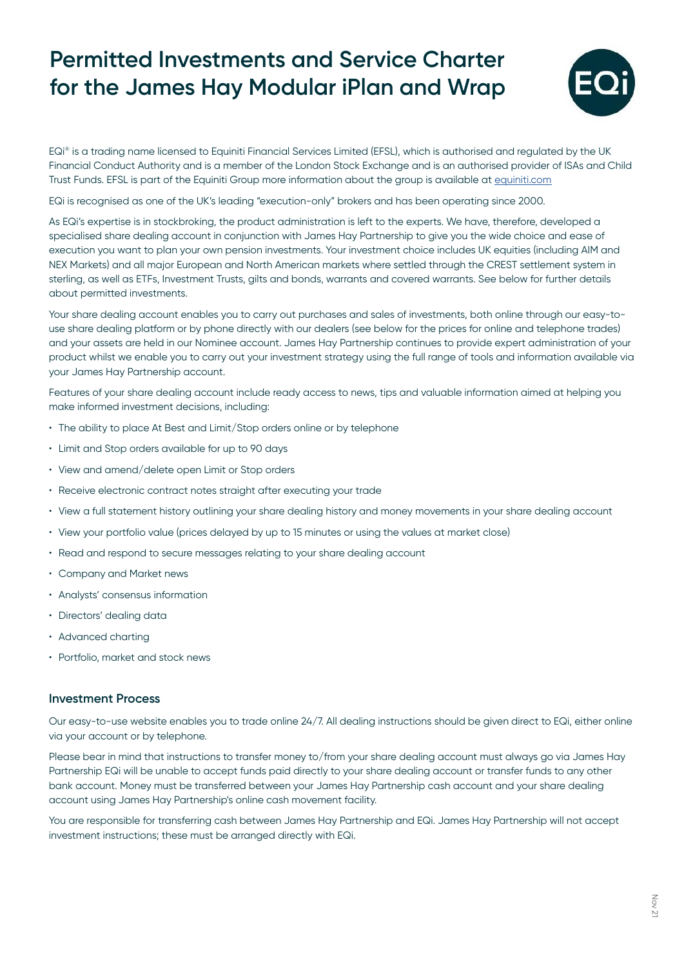## **Permitted Investments and Service Charter for the James Hay Modular iPlan and Wrap**



EQi® is a trading name licensed to Equiniti Financial Services Limited (EFSL), which is authorised and regulated by the UK Financial Conduct Authority and is a member of the London Stock Exchange and is an authorised provider of ISAs and Child Trust Funds. EFSL is part of the Equiniti Group more information about the group is available at [equiniti.com](https://equiniti.com/uk/)

EQi is recognised as one of the UK's leading "execution-only" brokers and has been operating since 2000.

As EQi's expertise is in stockbroking, the product administration is left to the experts. We have, therefore, developed a specialised share dealing account in conjunction with James Hay Partnership to give you the wide choice and ease of execution you want to plan your own pension investments. Your investment choice includes UK equities (including AIM and NEX Markets) and all major European and North American markets where settled through the CREST settlement system in sterling, as well as ETFs, Investment Trusts, gilts and bonds, warrants and covered warrants. See below for further details about permitted investments.

Your share dealing account enables you to carry out purchases and sales of investments, both online through our easy-touse share dealing platform or by phone directly with our dealers (see below for the prices for online and telephone trades) and your assets are held in our Nominee account. James Hay Partnership continues to provide expert administration of your product whilst we enable you to carry out your investment strategy using the full range of tools and information available via your James Hay Partnership account.

Features of your share dealing account include ready access to news, tips and valuable information aimed at helping you make informed investment decisions, including:

- The ability to place At Best and Limit/Stop orders online or by telephone
- Limit and Stop orders available for up to 90 days
- View and amend/delete open Limit or Stop orders
- Receive electronic contract notes straight after executing your trade
- View a full statement history outlining your share dealing history and money movements in your share dealing account
- View your portfolio value (prices delayed by up to 15 minutes or using the values at market close)
- Read and respond to secure messages relating to your share dealing account
- Company and Market news
- Analysts' consensus information
- Directors' dealing data
- Advanced charting
- Portfolio, market and stock news

## **Investment Process**

Our easy-to-use website enables you to trade online 24/7. All dealing instructions should be given direct to EQi, either online via your account or by telephone.

Please bear in mind that instructions to transfer money to/from your share dealing account must always go via James Hay Partnership EQi will be unable to accept funds paid directly to your share dealing account or transfer funds to any other bank account. Money must be transferred between your James Hay Partnership cash account and your share dealing account using James Hay Partnership's online cash movement facility.

You are responsible for transferring cash between James Hay Partnership and EQi. James Hay Partnership will not accept investment instructions; these must be arranged directly with EQi.